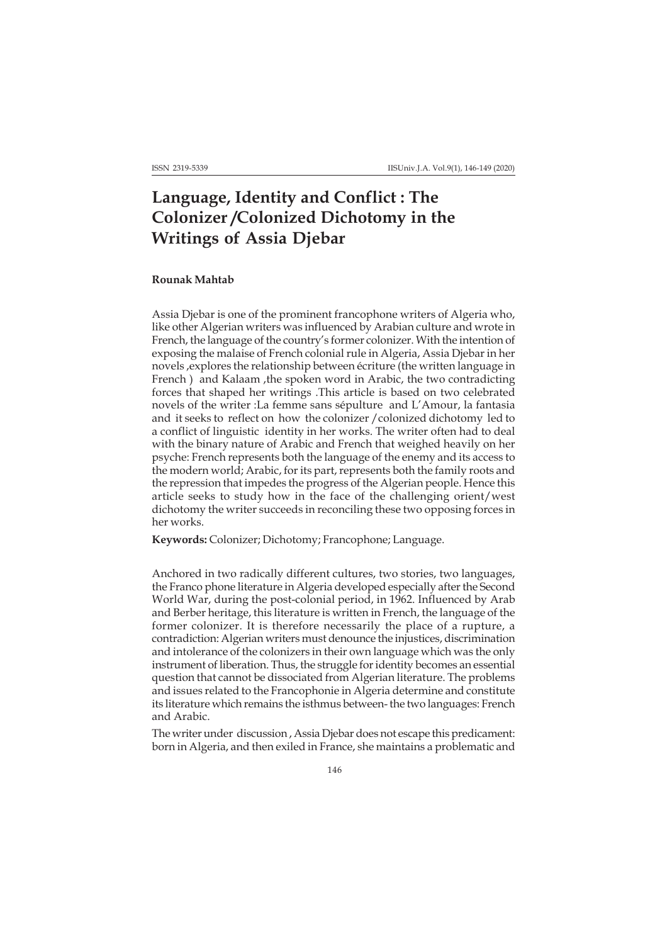## **Language, Identity and Conflict : The Colonizer /Colonized Dichotomy in the Writings of Assia Djebar**

## **Rounak Mahtab**

Assia Djebar is one of the prominent francophone writers of Algeria who, like other Algerian writers was influenced by Arabian culture and wrote in French, the language of the country's former colonizer. With the intention of exposing the malaise of French colonial rule in Algeria, Assia Djebar in her novels ,explores the relationship between écriture (the written language in French ) and Kalaam , the spoken word in Arabic, the two contradicting forces that shaped her writings .This article is based on two celebrated novels of the writer :La femme sans sépulture and L'Amour, la fantasia and it seeks to reflect on how the colonizer /colonized dichotomy led to a conflict of linguistic identity in her works. The writer often had to deal with the binary nature of Arabic and French that weighed heavily on her psyche: French represents both the language of the enemy and its access to the modern world; Arabic, for its part, represents both the family roots and the repression that impedes the progress of the Algerian people. Hence this article seeks to study how in the face of the challenging orient/west dichotomy the writer succeeds in reconciling these two opposing forces in her works.

**Keywords:** Colonizer; Dichotomy; Francophone; Language.

Anchored in two radically different cultures, two stories, two languages, the Franco phone literature in Algeria developed especially after the Second World War, during the post-colonial period, in 1962. Influenced by Arab and Berber heritage, this literature is written in French, the language of the former colonizer. It is therefore necessarily the place of a rupture, a contradiction: Algerian writers must denounce the injustices, discrimination and intolerance of the colonizers in their own language which was the only instrument of liberation. Thus, the struggle for identity becomes an essential question that cannot be dissociated from Algerian literature. The problems and issues related to the Francophonie in Algeria determine and constitute its literature which remains the isthmus between- the two languages: French and Arabic.

The writer under discussion , Assia Djebar does not escape this predicament: born in Algeria, and then exiled in France, she maintains a problematic and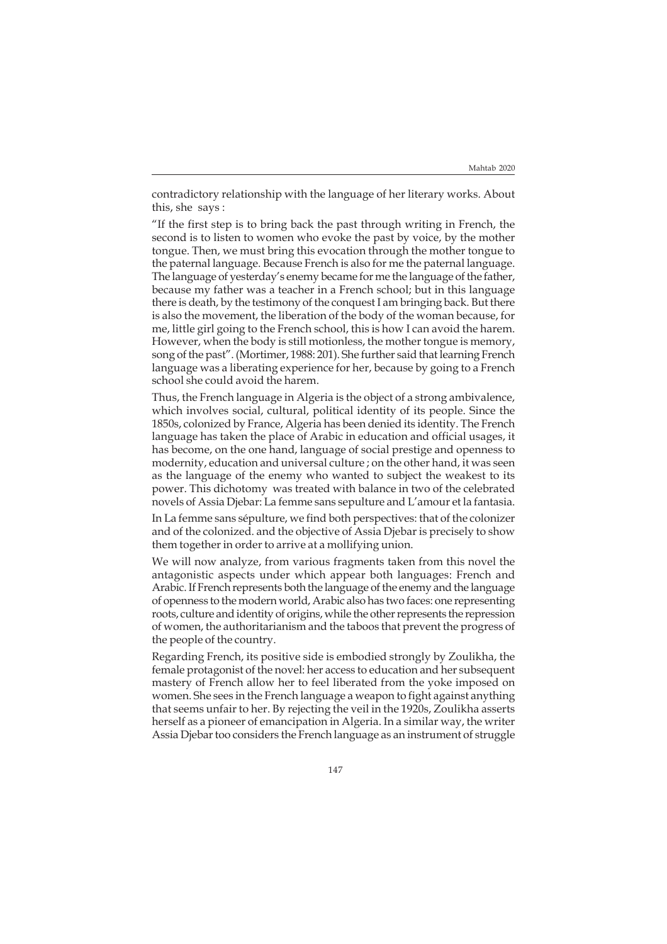contradictory relationship with the language of her literary works. About this, she says :

"If the first step is to bring back the past through writing in French, the second is to listen to women who evoke the past by voice, by the mother tongue. Then, we must bring this evocation through the mother tongue to the paternal language. Because French is also for me the paternal language. The language of yesterday's enemy became for me the language of the father, because my father was a teacher in a French school; but in this language there is death, by the testimony of the conquest I am bringing back. But there is also the movement, the liberation of the body of the woman because, for me, little girl going to the French school, this is how I can avoid the harem. However, when the body is still motionless, the mother tongue is memory, song of the past". (Mortimer, 1988: 201). She further said that learning French language was a liberating experience for her, because by going to a French school she could avoid the harem.

Thus, the French language in Algeria is the object of a strong ambivalence, which involves social, cultural, political identity of its people. Since the 1850s, colonized by France, Algeria has been denied its identity. The French language has taken the place of Arabic in education and official usages, it has become, on the one hand, language of social prestige and openness to modernity, education and universal culture ; on the other hand, it was seen as the language of the enemy who wanted to subject the weakest to its power. This dichotomy was treated with balance in two of the celebrated novels of Assia Djebar: La femme sans sepulture and L'amour et la fantasia.

In La femme sans sépulture, we find both perspectives: that of the colonizer and of the colonized. and the objective of Assia Djebar is precisely to show them together in order to arrive at a mollifying union.

We will now analyze, from various fragments taken from this novel the antagonistic aspects under which appear both languages: French and Arabic. If French represents both the language of the enemy and the language of openness to the modern world, Arabic also has two faces: one representing roots, culture and identity of origins, while the other represents the repression of women, the authoritarianism and the taboos that prevent the progress of the people of the country.

Regarding French, its positive side is embodied strongly by Zoulikha, the female protagonist of the novel: her access to education and her subsequent mastery of French allow her to feel liberated from the yoke imposed on women. She sees in the French language a weapon to fight against anything that seems unfair to her. By rejecting the veil in the 1920s, Zoulikha asserts herself as a pioneer of emancipation in Algeria. In a similar way, the writer Assia Djebar too considers the French language as an instrument of struggle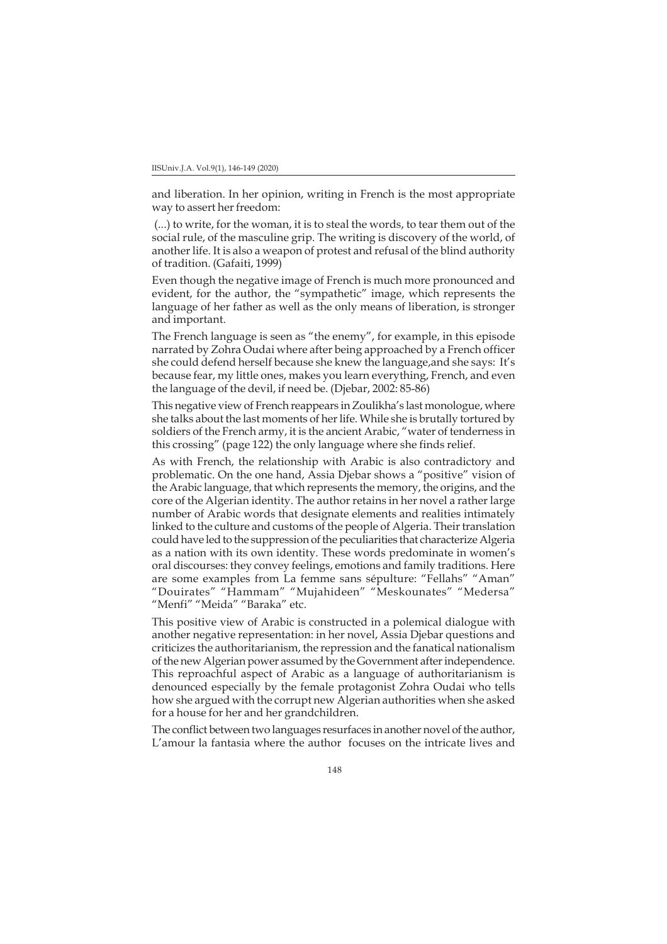and liberation. In her opinion, writing in French is the most appropriate way to assert her freedom:

 (...) to write, for the woman, it is to steal the words, to tear them out of the social rule, of the masculine grip. The writing is discovery of the world, of another life. It is also a weapon of protest and refusal of the blind authority of tradition. (Gafaiti, 1999)

Even though the negative image of French is much more pronounced and evident, for the author, the "sympathetic" image, which represents the language of her father as well as the only means of liberation, is stronger and important.

The French language is seen as "the enemy", for example, in this episode narrated by Zohra Oudai where after being approached by a French officer she could defend herself because she knew the language,and she says: It's because fear, my little ones, makes you learn everything, French, and even the language of the devil, if need be. (Djebar, 2002: 85-86)

This negative view of French reappears in Zoulikha's last monologue, where she talks about the last moments of her life. While she is brutally tortured by soldiers of the French army, it is the ancient Arabic, "water of tenderness in this crossing" (page 122) the only language where she finds relief.

As with French, the relationship with Arabic is also contradictory and problematic. On the one hand, Assia Djebar shows a "positive" vision of the Arabic language, that which represents the memory, the origins, and the core of the Algerian identity. The author retains in her novel a rather large number of Arabic words that designate elements and realities intimately linked to the culture and customs of the people of Algeria. Their translation could have led to the suppression of the peculiarities that characterize Algeria as a nation with its own identity. These words predominate in women's oral discourses: they convey feelings, emotions and family traditions. Here are some examples from La femme sans sépulture: "Fellahs" "Aman" "Douirates" "Hammam" "Mujahideen" "Meskounates" "Medersa" "Menfi" "Meida" "Baraka" etc.

This positive view of Arabic is constructed in a polemical dialogue with another negative representation: in her novel, Assia Djebar questions and criticizes the authoritarianism, the repression and the fanatical nationalism of the new Algerian power assumed by the Government after independence. This reproachful aspect of Arabic as a language of authoritarianism is denounced especially by the female protagonist Zohra Oudai who tells how she argued with the corrupt new Algerian authorities when she asked for a house for her and her grandchildren.

The conflict between two languages resurfaces in another novel of the author, L'amour la fantasia where the author focuses on the intricate lives and